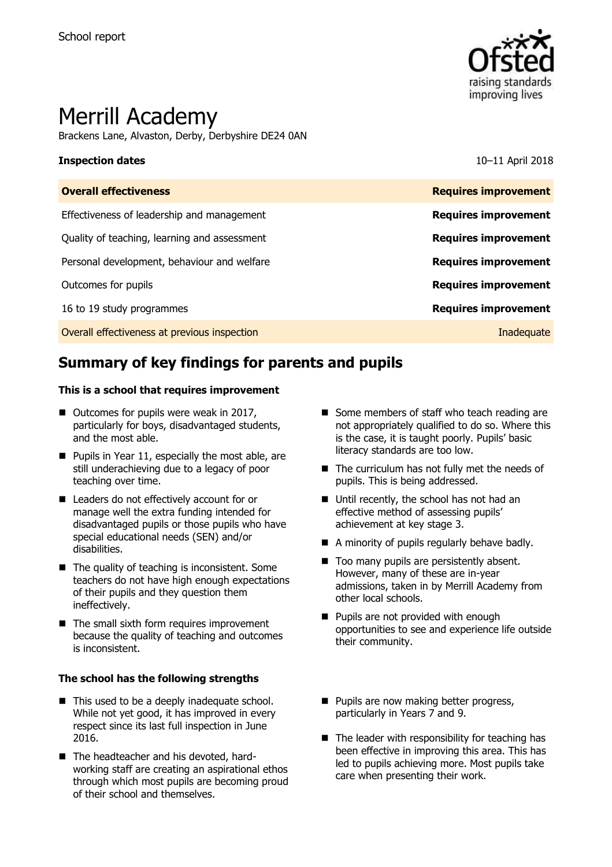

# Merrill Academy

Brackens Lane, Alvaston, Derby, Derbyshire DE24 0AN

### **Inspection dates** 10–11 April 2018

| <b>Overall effectiveness</b>                 | <b>Requires improvement</b> |
|----------------------------------------------|-----------------------------|
| Effectiveness of leadership and management   | <b>Requires improvement</b> |
| Quality of teaching, learning and assessment | <b>Requires improvement</b> |
| Personal development, behaviour and welfare  | <b>Requires improvement</b> |
| Outcomes for pupils                          | <b>Requires improvement</b> |
| 16 to 19 study programmes                    | <b>Requires improvement</b> |
| Overall effectiveness at previous inspection | Inadequate                  |
|                                              |                             |

# **Summary of key findings for parents and pupils**

### **This is a school that requires improvement**

- Outcomes for pupils were weak in 2017, particularly for boys, disadvantaged students, and the most able.
- Pupils in Year 11, especially the most able, are still underachieving due to a legacy of poor teaching over time.
- Leaders do not effectively account for or manage well the extra funding intended for disadvantaged pupils or those pupils who have special educational needs (SEN) and/or disabilities.
- $\blacksquare$  The quality of teaching is inconsistent. Some teachers do not have high enough expectations of their pupils and they question them ineffectively.
- $\blacksquare$  The small sixth form requires improvement because the quality of teaching and outcomes is inconsistent.

### **The school has the following strengths**

- This used to be a deeply inadequate school. While not yet good, it has improved in every respect since its last full inspection in June 2016.
- The headteacher and his devoted, hardworking staff are creating an aspirational ethos through which most pupils are becoming proud of their school and themselves.
- Some members of staff who teach reading are not appropriately qualified to do so. Where this is the case, it is taught poorly. Pupils' basic literacy standards are too low.
- $\blacksquare$  The curriculum has not fully met the needs of pupils. This is being addressed.
- Until recently, the school has not had an effective method of assessing pupils' achievement at key stage 3.
- A minority of pupils regularly behave badly.
- Too many pupils are persistently absent. However, many of these are in-year admissions, taken in by Merrill Academy from other local schools.
- **Pupils are not provided with enough** opportunities to see and experience life outside their community.
- **Pupils are now making better progress,** particularly in Years 7 and 9.
- $\blacksquare$  The leader with responsibility for teaching has been effective in improving this area. This has led to pupils achieving more. Most pupils take care when presenting their work.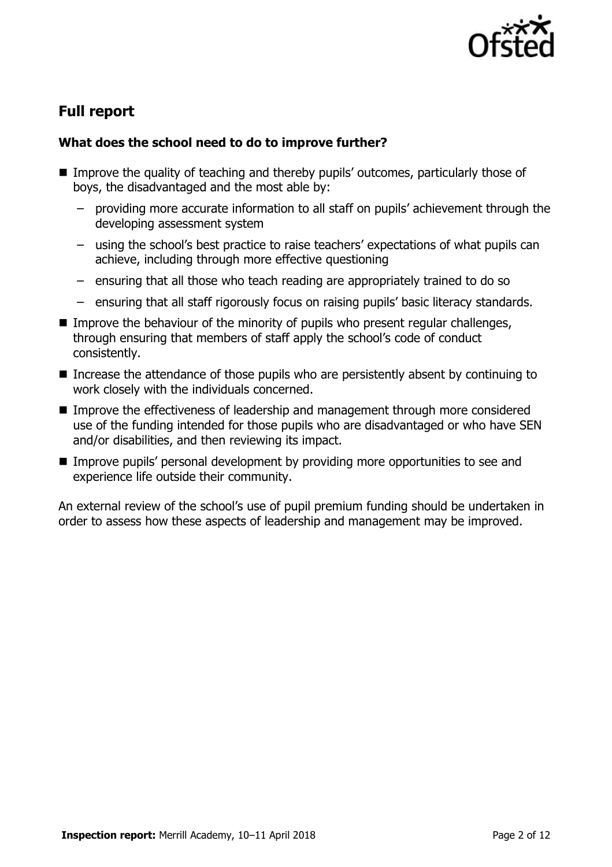

# **Full report**

### **What does the school need to do to improve further?**

- Improve the quality of teaching and thereby pupils' outcomes, particularly those of boys, the disadvantaged and the most able by:
	- providing more accurate information to all staff on pupils' achievement through the developing assessment system
	- using the school's best practice to raise teachers' expectations of what pupils can achieve, including through more effective questioning
	- ensuring that all those who teach reading are appropriately trained to do so
	- ensuring that all staff rigorously focus on raising pupils' basic literacy standards.
- Improve the behaviour of the minority of pupils who present regular challenges, through ensuring that members of staff apply the school's code of conduct consistently.
- Increase the attendance of those pupils who are persistently absent by continuing to work closely with the individuals concerned.
- Improve the effectiveness of leadership and management through more considered use of the funding intended for those pupils who are disadvantaged or who have SEN and/or disabilities, and then reviewing its impact.
- Improve pupils' personal development by providing more opportunities to see and experience life outside their community.

An external review of the school's use of pupil premium funding should be undertaken in order to assess how these aspects of leadership and management may be improved.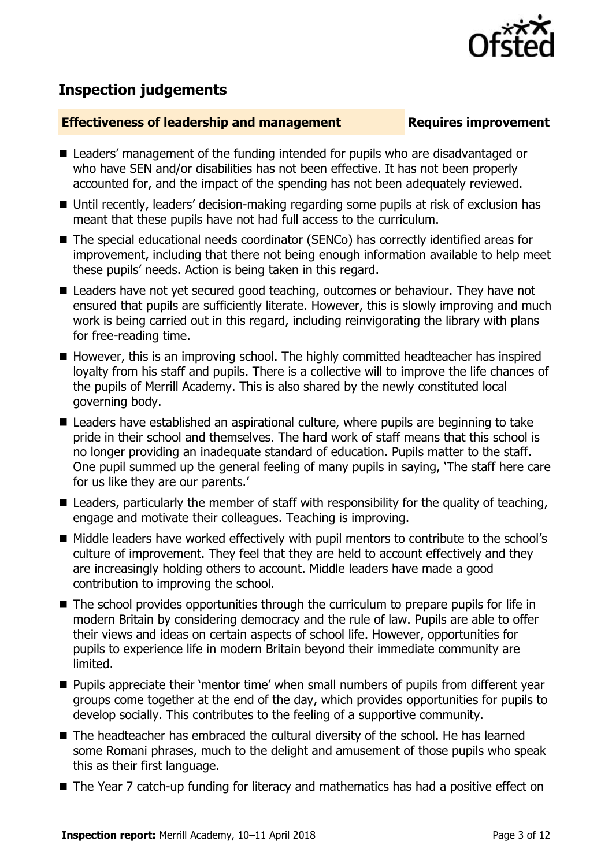

# **Inspection judgements**

### **Effectiveness of leadership and management Requires improvement**

- Leaders' management of the funding intended for pupils who are disadvantaged or who have SEN and/or disabilities has not been effective. It has not been properly accounted for, and the impact of the spending has not been adequately reviewed.
- Until recently, leaders' decision-making regarding some pupils at risk of exclusion has meant that these pupils have not had full access to the curriculum.
- The special educational needs coordinator (SENCo) has correctly identified areas for improvement, including that there not being enough information available to help meet these pupils' needs. Action is being taken in this regard.
- Leaders have not yet secured good teaching, outcomes or behaviour. They have not ensured that pupils are sufficiently literate. However, this is slowly improving and much work is being carried out in this regard, including reinvigorating the library with plans for free-reading time.
- $\blacksquare$  However, this is an improving school. The highly committed headteacher has inspired loyalty from his staff and pupils. There is a collective will to improve the life chances of the pupils of Merrill Academy. This is also shared by the newly constituted local governing body.
- Leaders have established an aspirational culture, where pupils are beginning to take pride in their school and themselves. The hard work of staff means that this school is no longer providing an inadequate standard of education. Pupils matter to the staff. One pupil summed up the general feeling of many pupils in saying, 'The staff here care for us like they are our parents.'
- $\blacksquare$  Leaders, particularly the member of staff with responsibility for the quality of teaching, engage and motivate their colleagues. Teaching is improving.
- Middle leaders have worked effectively with pupil mentors to contribute to the school's culture of improvement. They feel that they are held to account effectively and they are increasingly holding others to account. Middle leaders have made a good contribution to improving the school.
- The school provides opportunities through the curriculum to prepare pupils for life in modern Britain by considering democracy and the rule of law. Pupils are able to offer their views and ideas on certain aspects of school life. However, opportunities for pupils to experience life in modern Britain beyond their immediate community are limited.
- **Pupils appreciate their 'mentor time' when small numbers of pupils from different year** groups come together at the end of the day, which provides opportunities for pupils to develop socially. This contributes to the feeling of a supportive community.
- The headteacher has embraced the cultural diversity of the school. He has learned some Romani phrases, much to the delight and amusement of those pupils who speak this as their first language.
- The Year 7 catch-up funding for literacy and mathematics has had a positive effect on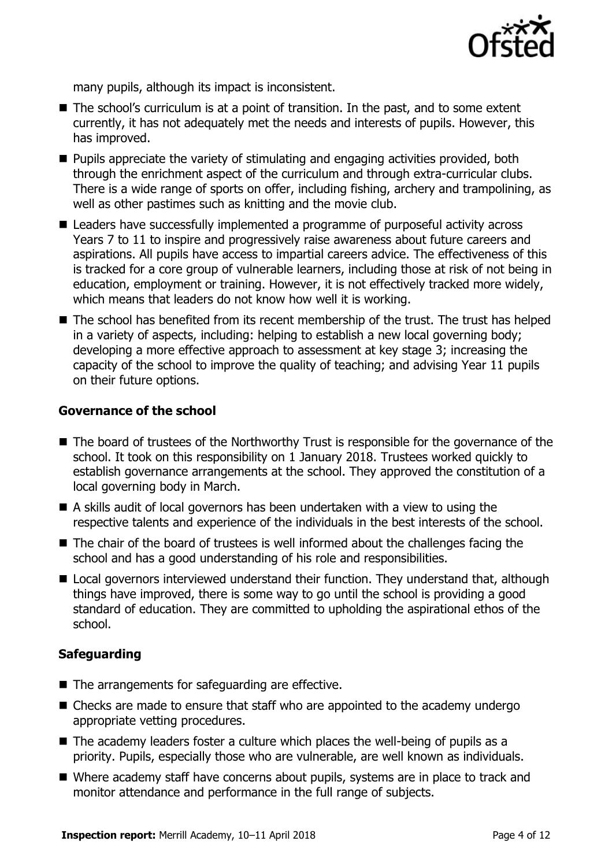

many pupils, although its impact is inconsistent.

- The school's curriculum is at a point of transition. In the past, and to some extent currently, it has not adequately met the needs and interests of pupils. However, this has improved.
- **Pupils appreciate the variety of stimulating and engaging activities provided, both** through the enrichment aspect of the curriculum and through extra-curricular clubs. There is a wide range of sports on offer, including fishing, archery and trampolining, as well as other pastimes such as knitting and the movie club.
- Leaders have successfully implemented a programme of purposeful activity across Years 7 to 11 to inspire and progressively raise awareness about future careers and aspirations. All pupils have access to impartial careers advice. The effectiveness of this is tracked for a core group of vulnerable learners, including those at risk of not being in education, employment or training. However, it is not effectively tracked more widely, which means that leaders do not know how well it is working.
- The school has benefited from its recent membership of the trust. The trust has helped in a variety of aspects, including: helping to establish a new local governing body; developing a more effective approach to assessment at key stage 3; increasing the capacity of the school to improve the quality of teaching; and advising Year 11 pupils on their future options.

### **Governance of the school**

- The board of trustees of the Northworthy Trust is responsible for the governance of the school. It took on this responsibility on 1 January 2018. Trustees worked quickly to establish governance arrangements at the school. They approved the constitution of a local governing body in March.
- A skills audit of local governors has been undertaken with a view to using the respective talents and experience of the individuals in the best interests of the school.
- The chair of the board of trustees is well informed about the challenges facing the school and has a good understanding of his role and responsibilities.
- Local governors interviewed understand their function. They understand that, although things have improved, there is some way to go until the school is providing a good standard of education. They are committed to upholding the aspirational ethos of the school.

### **Safeguarding**

- $\blacksquare$  The arrangements for safeguarding are effective.
- Checks are made to ensure that staff who are appointed to the academy undergo appropriate vetting procedures.
- $\blacksquare$  The academy leaders foster a culture which places the well-being of pupils as a priority. Pupils, especially those who are vulnerable, are well known as individuals.
- Where academy staff have concerns about pupils, systems are in place to track and monitor attendance and performance in the full range of subjects.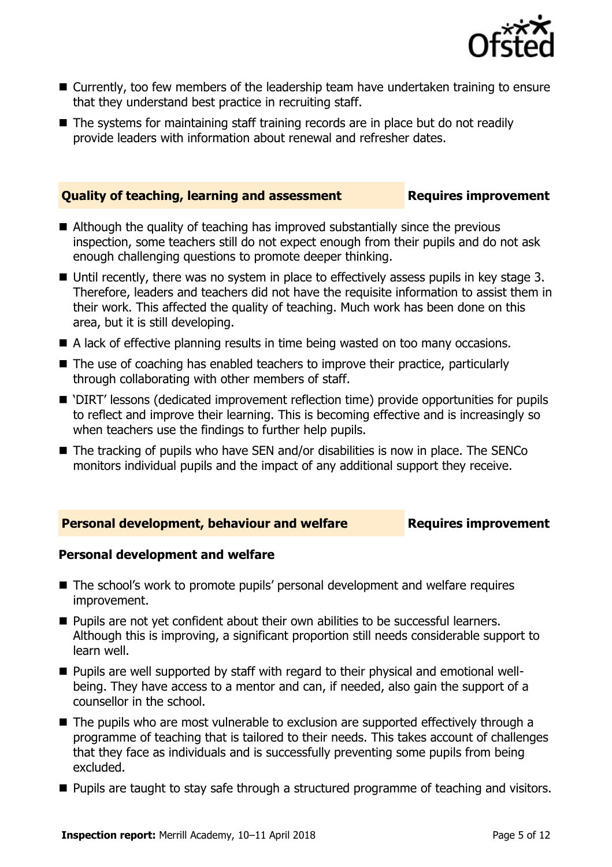

- Currently, too few members of the leadership team have undertaken training to ensure that they understand best practice in recruiting staff.
- The systems for maintaining staff training records are in place but do not readily provide leaders with information about renewal and refresher dates.

### **Quality of teaching, learning and assessment Requires improvement**

- Although the quality of teaching has improved substantially since the previous inspection, some teachers still do not expect enough from their pupils and do not ask enough challenging questions to promote deeper thinking.
- Until recently, there was no system in place to effectively assess pupils in key stage 3. Therefore, leaders and teachers did not have the requisite information to assist them in their work. This affected the quality of teaching. Much work has been done on this area, but it is still developing.
- A lack of effective planning results in time being wasted on too many occasions.
- The use of coaching has enabled teachers to improve their practice, particularly through collaborating with other members of staff.
- 'DIRT' lessons (dedicated improvement reflection time) provide opportunities for pupils to reflect and improve their learning. This is becoming effective and is increasingly so when teachers use the findings to further help pupils.
- The tracking of pupils who have SEN and/or disabilities is now in place. The SENCo monitors individual pupils and the impact of any additional support they receive.

### **Personal development, behaviour and welfare <b>Requires improvement**

### **Personal development and welfare**

- The school's work to promote pupils' personal development and welfare requires improvement.
- **Pupils are not yet confident about their own abilities to be successful learners.** Although this is improving, a significant proportion still needs considerable support to learn well.
- Pupils are well supported by staff with regard to their physical and emotional wellbeing. They have access to a mentor and can, if needed, also gain the support of a counsellor in the school.
- The pupils who are most vulnerable to exclusion are supported effectively through a programme of teaching that is tailored to their needs. This takes account of challenges that they face as individuals and is successfully preventing some pupils from being excluded.
- **Pupils are taught to stay safe through a structured programme of teaching and visitors.**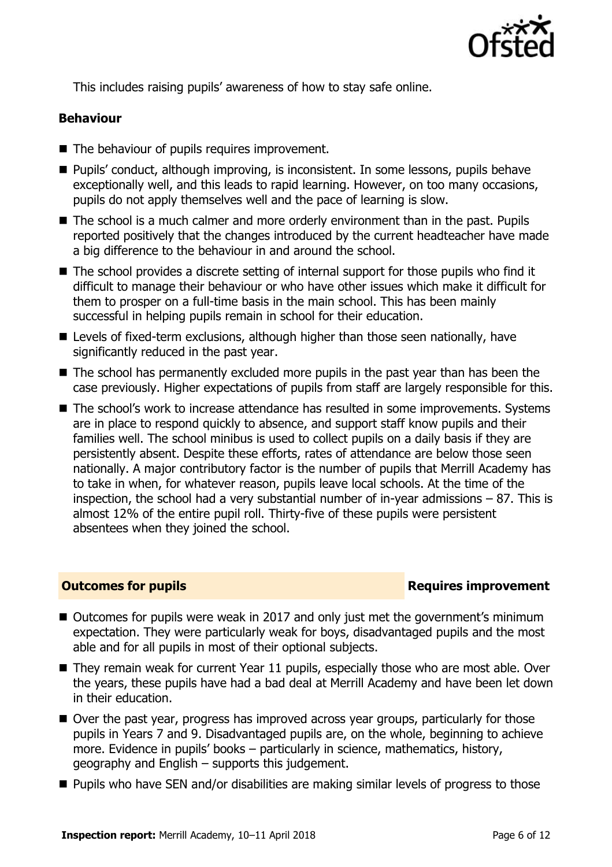

This includes raising pupils' awareness of how to stay safe online.

### **Behaviour**

- The behaviour of pupils requires improvement.
- Pupils' conduct, although improving, is inconsistent. In some lessons, pupils behave exceptionally well, and this leads to rapid learning. However, on too many occasions, pupils do not apply themselves well and the pace of learning is slow.
- The school is a much calmer and more orderly environment than in the past. Pupils reported positively that the changes introduced by the current headteacher have made a big difference to the behaviour in and around the school.
- The school provides a discrete setting of internal support for those pupils who find it difficult to manage their behaviour or who have other issues which make it difficult for them to prosper on a full-time basis in the main school. This has been mainly successful in helping pupils remain in school for their education.
- Levels of fixed-term exclusions, although higher than those seen nationally, have significantly reduced in the past year.
- The school has permanently excluded more pupils in the past year than has been the case previously. Higher expectations of pupils from staff are largely responsible for this.
- The school's work to increase attendance has resulted in some improvements. Systems are in place to respond quickly to absence, and support staff know pupils and their families well. The school minibus is used to collect pupils on a daily basis if they are persistently absent. Despite these efforts, rates of attendance are below those seen nationally. A major contributory factor is the number of pupils that Merrill Academy has to take in when, for whatever reason, pupils leave local schools. At the time of the inspection, the school had a very substantial number of in-year admissions – 87. This is almost 12% of the entire pupil roll. Thirty-five of these pupils were persistent absentees when they joined the school.

### **Outcomes for pupils Requires improvement**

- Outcomes for pupils were weak in 2017 and only just met the government's minimum expectation. They were particularly weak for boys, disadvantaged pupils and the most able and for all pupils in most of their optional subjects.
- They remain weak for current Year 11 pupils, especially those who are most able. Over the years, these pupils have had a bad deal at Merrill Academy and have been let down in their education.
- Over the past year, progress has improved across year groups, particularly for those pupils in Years 7 and 9. Disadvantaged pupils are, on the whole, beginning to achieve more. Evidence in pupils' books – particularly in science, mathematics, history, geography and English – supports this judgement.
- Pupils who have SEN and/or disabilities are making similar levels of progress to those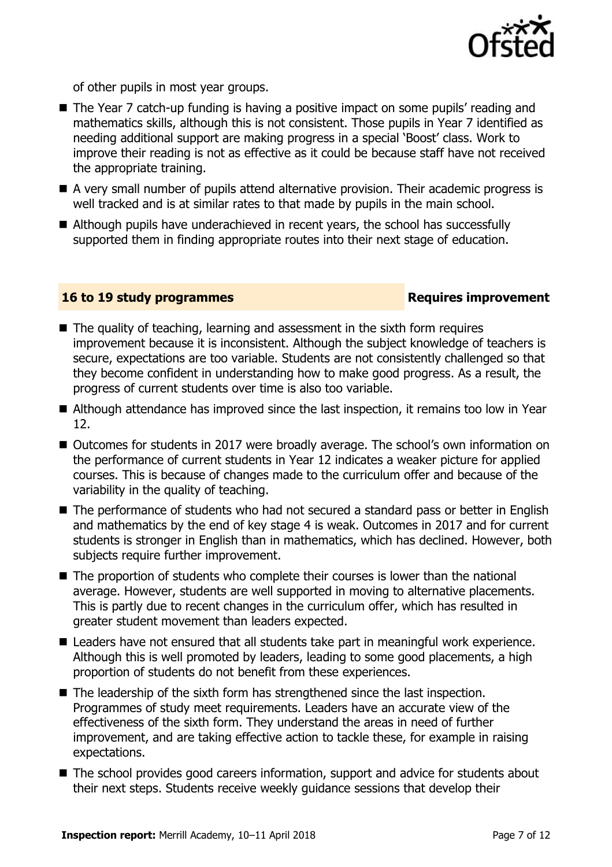

of other pupils in most year groups.

- The Year 7 catch-up funding is having a positive impact on some pupils' reading and mathematics skills, although this is not consistent. Those pupils in Year 7 identified as needing additional support are making progress in a special 'Boost' class. Work to improve their reading is not as effective as it could be because staff have not received the appropriate training.
- A very small number of pupils attend alternative provision. Their academic progress is well tracked and is at similar rates to that made by pupils in the main school.
- Although pupils have underachieved in recent years, the school has successfully supported them in finding appropriate routes into their next stage of education.

### **16 to 19 study programmes Requires improvement**

- The quality of teaching, learning and assessment in the sixth form requires improvement because it is inconsistent. Although the subject knowledge of teachers is secure, expectations are too variable. Students are not consistently challenged so that they become confident in understanding how to make good progress. As a result, the progress of current students over time is also too variable.
- Although attendance has improved since the last inspection, it remains too low in Year 12.
- Outcomes for students in 2017 were broadly average. The school's own information on the performance of current students in Year 12 indicates a weaker picture for applied courses. This is because of changes made to the curriculum offer and because of the variability in the quality of teaching.
- The performance of students who had not secured a standard pass or better in English and mathematics by the end of key stage 4 is weak. Outcomes in 2017 and for current students is stronger in English than in mathematics, which has declined. However, both subjects require further improvement.
- $\blacksquare$  The proportion of students who complete their courses is lower than the national average. However, students are well supported in moving to alternative placements. This is partly due to recent changes in the curriculum offer, which has resulted in greater student movement than leaders expected.
- Leaders have not ensured that all students take part in meaningful work experience. Although this is well promoted by leaders, leading to some good placements, a high proportion of students do not benefit from these experiences.
- The leadership of the sixth form has strengthened since the last inspection. Programmes of study meet requirements. Leaders have an accurate view of the effectiveness of the sixth form. They understand the areas in need of further improvement, and are taking effective action to tackle these, for example in raising expectations.
- The school provides good careers information, support and advice for students about their next steps. Students receive weekly guidance sessions that develop their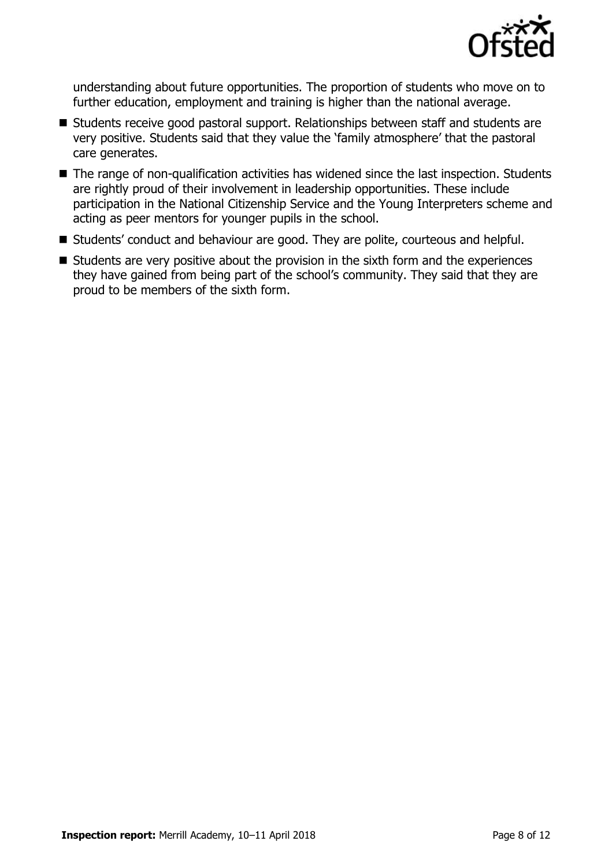

understanding about future opportunities. The proportion of students who move on to further education, employment and training is higher than the national average.

- Students receive good pastoral support. Relationships between staff and students are very positive. Students said that they value the 'family atmosphere' that the pastoral care generates.
- The range of non-qualification activities has widened since the last inspection. Students are rightly proud of their involvement in leadership opportunities. These include participation in the National Citizenship Service and the Young Interpreters scheme and acting as peer mentors for younger pupils in the school.
- Students' conduct and behaviour are good. They are polite, courteous and helpful.
- Students are very positive about the provision in the sixth form and the experiences they have gained from being part of the school's community. They said that they are proud to be members of the sixth form.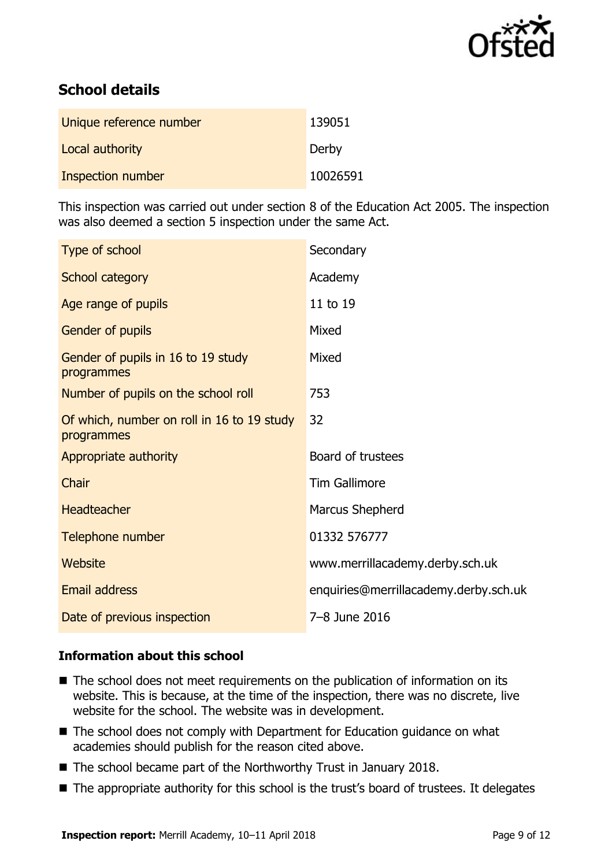

# **School details**

| Unique reference number | 139051   |
|-------------------------|----------|
| Local authority         | Derby    |
| Inspection number       | 10026591 |

This inspection was carried out under section 8 of the Education Act 2005. The inspection was also deemed a section 5 inspection under the same Act.

| Type of school                                           | Secondary                             |
|----------------------------------------------------------|---------------------------------------|
| School category                                          | Academy                               |
| Age range of pupils                                      | 11 to 19                              |
| Gender of pupils                                         | Mixed                                 |
| Gender of pupils in 16 to 19 study<br>programmes         | Mixed                                 |
| Number of pupils on the school roll                      | 753                                   |
| Of which, number on roll in 16 to 19 study<br>programmes | 32                                    |
| Appropriate authority                                    | Board of trustees                     |
| Chair                                                    | <b>Tim Gallimore</b>                  |
| <b>Headteacher</b>                                       | Marcus Shepherd                       |
| Telephone number                                         | 01332 576777                          |
| <b>Website</b>                                           | www.merrillacademy.derby.sch.uk       |
| <b>Email address</b>                                     | enquiries@merrillacademy.derby.sch.uk |
| Date of previous inspection                              | 7-8 June 2016                         |

### **Information about this school**

- The school does not meet requirements on the publication of information on its website. This is because, at the time of the inspection, there was no discrete, live website for the school. The website was in development.
- The school does not comply with Department for Education guidance on what academies should publish for the reason cited above.
- The school became part of the Northworthy Trust in January 2018.
- The appropriate authority for this school is the trust's board of trustees. It delegates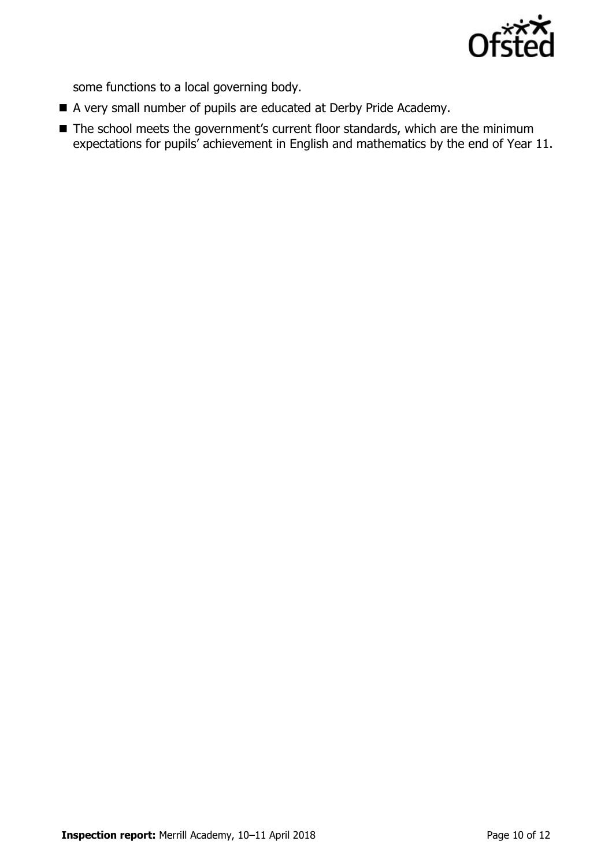

some functions to a local governing body.

- A very small number of pupils are educated at Derby Pride Academy.
- The school meets the government's current floor standards, which are the minimum expectations for pupils' achievement in English and mathematics by the end of Year 11.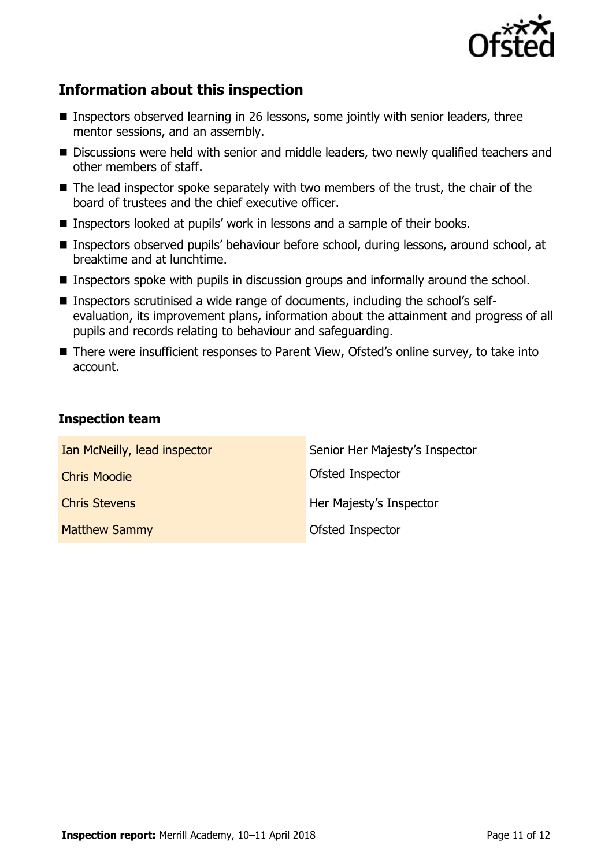

# **Information about this inspection**

- Inspectors observed learning in 26 lessons, some jointly with senior leaders, three mentor sessions, and an assembly.
- Discussions were held with senior and middle leaders, two newly qualified teachers and other members of staff.
- The lead inspector spoke separately with two members of the trust, the chair of the board of trustees and the chief executive officer.
- Inspectors looked at pupils' work in lessons and a sample of their books.
- Inspectors observed pupils' behaviour before school, during lessons, around school, at breaktime and at lunchtime.
- **Inspectors spoke with pupils in discussion groups and informally around the school.**
- Inspectors scrutinised a wide range of documents, including the school's selfevaluation, its improvement plans, information about the attainment and progress of all pupils and records relating to behaviour and safeguarding.
- There were insufficient responses to Parent View, Ofsted's online survey, to take into account.

### **Inspection team**

| Ian McNeilly, lead inspector | Senior Her Majesty's Inspector |
|------------------------------|--------------------------------|
| <b>Chris Moodie</b>          | Ofsted Inspector               |
| <b>Chris Stevens</b>         | Her Majesty's Inspector        |
| <b>Matthew Sammy</b>         | Ofsted Inspector               |